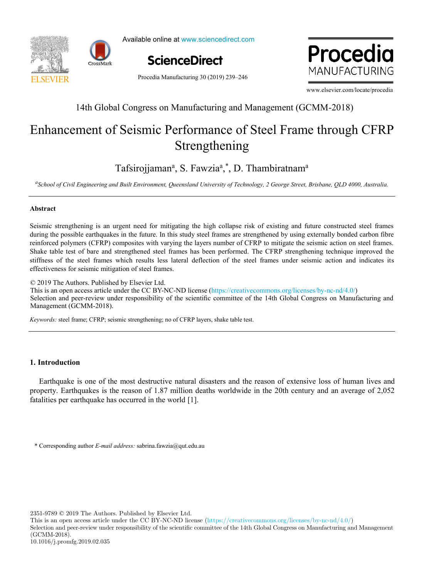



Available online at www.sciencedirect.com s<br>Selected in the selected of the selected in the selected in the selected in the selected in the selected in th able online at www.sciencedirect





Procedia Manufacturing 30 (2019) 239–246

www.elsevier.com/locate/procedia

# $14\%$  Global Global Congress on  $\mathbb{R}^2$  Global Congress on  $\mathbb{R}^2$ 14th Global Congress on Manufacturing and Management (GCMM-2018)

## $S$ trengthening Strengthening Enhancement of Seismic Performance of Steel Frame through CFRP Strengthening Enhancement of Seismic Performance of Steel Frame through CFRP

 $\text{R}^2$  models for capacitan in Industry  $\text{R}^2$  and  $\text{R}^2$  models for  $\text{R}^2$  models for  $\text{R}^2$  $\overline{a}$  and  $\overline{a}$  are  $\overline{a}$  than  $\overline{a}$ *School of Civil Engineering and Built Environment, Queensland University of Technology, 2 George Street, Brisbane, QLD 4000, Australia.* Tafsirojjaman<sup>a</sup>, S. Fawzia<sup>a</sup>,\*, D. Thambiratnam<sup>a</sup>

<sup>a</sup> School of Civil Engineering and Built Environment, Queensland University of Technology, 2 George Street, Brisbane, QLD 4000, Australia.

### **Abstract**

Seismic strengthening is an urgent need for mitigating the high collapse risk of existing and future constructed steel frames during the possible earthquakes in the future. In this study steel frames are strengthened by using externally bonded carbon fibre effectiveness for seismic mitigation of steel frames. reinforced polymers (CFRP) composites with varying the layers number of CFRP to mitigate the seismic action on steel frames. Shake table test of bare and strengthened steel frames has been performed. The CFRP strengthening technique improved the stiffness of the steel frames which results less lateral deflection of the steel frames under seismic action and indicates its during the possible earthquakes in the future. In this study steel frames are strengthened by using externally bonded carbon fibre<br>reinforced polymers (CFRP) composites with varying the layers number of CFRP to mitigate th

© 2019 The Authors. Published by Elsevier Ltd. © 2018 The Authors. Published by Elsevier Ltd.

Q 2019 The Authors. Published by Elsevier Ltd.<br>This is an open access article under the CC BY-NC-ND license (https://creativecommons.org/licenses/by-nc-nd/4.0/) Selection and peer-review under responsibility of the scientific committee of the 14th Global Congress on Manufacturing and betechen und per review under responsionly or the setemant commutee or the T his stockh congress on manandetaining und Management (GCMM-2018). Selection and peer-review under responsibility of the selection committee of the 14th Global Congress on Manufacturing and Manugariti (GCMM-2018)  $\mathcal{L}$  (GCM)  $\mathcal{L}$ 

contributions from both the practical and theoretical perspectives. This paper presents and discusses a mathematical

 $U = U + U$  continuous improvement and continuous suppressure suggests capacity optimization instead of  $U$ *Keywords:* steel frame; CFRP; seismic strengthening; no of CFRP layers, shake table test. *Keywords:* steel frame; CFRP; seismic strengthening; no of CFRP layers, shake table test.

# value. The trade-off capacity maximization vs operational efficiency is highlighted and it is shown that capacity **1. Introduction**

Earthquake is one of the most destructive natural disasters and the reason of extensive loss of human lives and property. Earthquakes is the reason of 1.87 million deaths worldwide in the 20th century and an average of 2,052 fatalities per earthquake has occurred in the world [1].

**1. Introduction**  \* Corresponding author *E-mail address:* sabrina.fawzia@qut.edu.au

2351-9789  $\odot$  2019 The Authors. Published by Elsevier Ltd.

This is an open access article under the CC BY-NC-ND license (https://creativecommons.org/licenses/by-nc-nd/4.0/)

Selection and peer-review under responsibility of the scientific committee of the 14th Global Congress on Manufacturing and Management (GCMM-2018).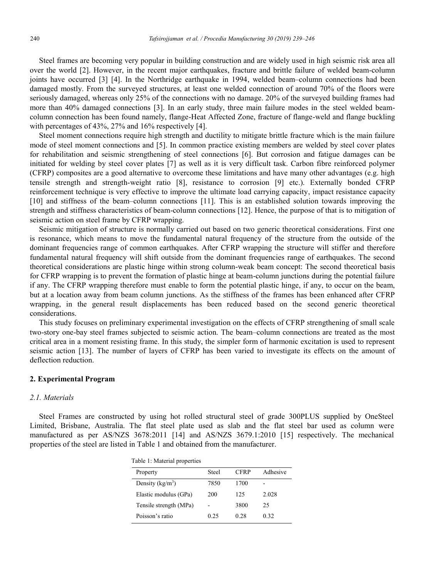Steel frames are becoming very popular in building construction and are widely used in high seismic risk area all over the world [2]. However, in the recent major earthquakes, fracture and brittle failure of welded beam-column joints have occurred [3] [4]. In the Northridge earthquake in 1994, welded beam–column connections had been damaged mostly. From the surveyed structures, at least one welded connection of around 70% of the floors were seriously damaged, whereas only 25% of the connections with no damage. 20% of the surveyed building frames had more than 40% damaged connections [3]. In an early study, three main failure modes in the steel welded beamcolumn connection has been found namely, flange-Heat Affected Zone, fracture of flange-weld and flange buckling with percentages of 43%, 27% and 16% respectively [4].

Steel moment connections require high strength and ductility to mitigate brittle fracture which is the main failure mode of steel moment connections and [5]. In common practice existing members are welded by steel cover plates for rehabilitation and seismic strengthening of steel connections [6]. But corrosion and fatigue damages can be initiated for welding by steel cover plates [7] as well as it is very difficult task. Carbon fibre reinforced polymer (CFRP) composites are a good alternative to overcome these limitations and have many other advantages (e.g. high tensile strength and strength-weight ratio [8], resistance to corrosion [9] etc.). Externally bonded CFRP reinforcement technique is very effective to improve the ultimate load carrying capacity, impact resistance capacity [10] and stiffness of the beam–column connections [11]. This is an established solution towards improving the strength and stiffness characteristics of beam-column connections [12]. Hence, the purpose of that is to mitigation of seismic action on steel frame by CFRP wrapping.

Seismic mitigation of structure is normally carried out based on two generic theoretical considerations. First one is resonance, which means to move the fundamental natural frequency of the structure from the outside of the dominant frequencies range of common earthquakes. After CFRP wrapping the structure will stiffer and therefore fundamental natural frequency will shift outside from the dominant frequencies range of earthquakes. The second theoretical considerations are plastic hinge within strong column-weak beam concept: The second theoretical basis for CFRP wrapping is to prevent the formation of plastic hinge at beam-column junctions during the potential failure if any. The CFRP wrapping therefore must enable to form the potential plastic hinge, if any, to occur on the beam, but at a location away from beam column junctions. As the stiffness of the frames has been enhanced after CFRP wrapping, in the general result displacements has been reduced based on the second generic theoretical considerations.

This study focuses on preliminary experimental investigation on the effects of CFRP strengthening of small scale two-story one-bay steel frames subjected to seismic action. The beam–column connections are treated as the most critical area in a moment resisting frame. In this study, the simpler form of harmonic excitation is used to represent seismic action [13]. The number of layers of CFRP has been varied to investigate its effects on the amount of deflection reduction.

#### **2. Experimental Program**

#### *2.1. Materials*

Steel Frames are constructed by using hot rolled structural steel of grade 300PLUS supplied by OneSteel Limited, Brisbane, Australia. The flat steel plate used as slab and the flat steel bar used as column were manufactured as per AS/NZS 3678:2011 [14] and AS/NZS 3679.1:2010 [15] respectively. The mechanical properties of the steel are listed in Table 1 and obtained from the manufacturer.

| ruote 1. maailmeen properties |       |             |          |
|-------------------------------|-------|-------------|----------|
| Property                      | Steel | <b>CFRP</b> | Adhesive |
| Density $(kg/m3)$             | 7850  | 1700        |          |
| Elastic modulus (GPa)         | 200   | 125         | 2.028    |
| Tensile strength (MPa)        |       | 3800        | 25       |
| Poisson's ratio               | 0.25  | 0.28        | 0.32     |

Table 1: Material properties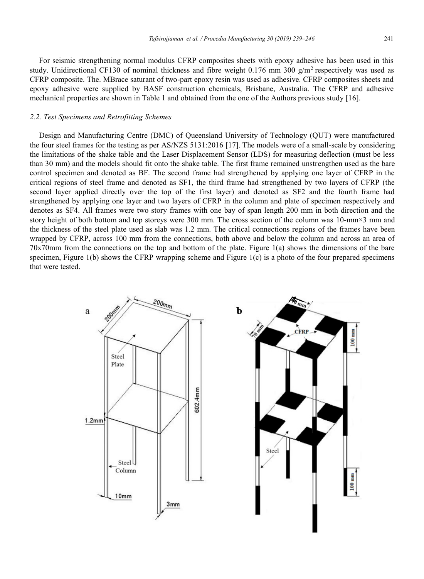For seismic strengthening normal modulus CFRP composites sheets with epoxy adhesive has been used in this study. Unidirectional CF130 of nominal thickness and fibre weight 0.176 mm 300  $g/m^2$  respectively was used as CFRP composite. The. MBrace saturant of two-part epoxy resin was used as adhesive. CFRP composites sheets and epoxy adhesive were supplied by BASF construction chemicals, Brisbane, Australia. The CFRP and adhesive mechanical properties are shown in Table 1 and obtained from the one of the Authors previous study [16].

### *2.2. Test Specimens and Retrofitting Schemes*

Design and Manufacturing Centre (DMC) of Queensland University of Technology (QUT) were manufactured the four steel frames for the testing as per AS/NZS 5131:2016 [17]. The models were of a small-scale by considering the limitations of the shake table and the Laser Displacement Sensor (LDS) for measuring deflection (must be less than 30 mm) and the models should fit onto the shake table. The first frame remained unstrengthen used as the bare control specimen and denoted as BF. The second frame had strengthened by applying one layer of CFRP in the critical regions of steel frame and denoted as SF1, the third frame had strengthened by two layers of CFRP (the second layer applied directly over the top of the first layer) and denoted as SF2 and the fourth frame had strengthened by applying one layer and two layers of CFRP in the column and plate of specimen respectively and denotes as SF4. All frames were two story frames with one bay of span length 200 mm in both direction and the story height of both bottom and top storeys were 300 mm. The cross section of the column was 10-mm×3 mm and the thickness of the steel plate used as slab was 1.2 mm. The critical connections regions of the frames have been wrapped by CFRP, across 100 mm from the connections, both above and below the column and across an area of 70x70mm from the connections on the top and bottom of the plate. Figure 1(a) shows the dimensions of the bare specimen, Figure 1(b) shows the CFRP wrapping scheme and Figure 1(c) is a photo of the four prepared specimens that were tested.

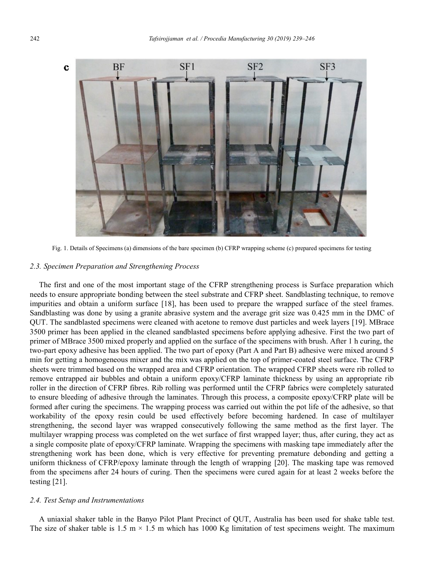

Fig. 1. Details of Specimens (a) dimensions of the bare specimen (b) CFRP wrapping scheme (c) prepared specimens for testing

### *2.3. Specimen Preparation and Strengthening Process*

The first and one of the most important stage of the CFRP strengthening process is Surface preparation which needs to ensure appropriate bonding between the steel substrate and CFRP sheet. Sandblasting technique, to remove impurities and obtain a uniform surface [18], has been used to prepare the wrapped surface of the steel frames. Sandblasting was done by using a granite abrasive system and the average grit size was 0.425 mm in the DMC of QUT. The sandblasted specimens were cleaned with acetone to remove dust particles and week layers [19]. MBrace 3500 primer has been applied in the cleaned sandblasted specimens before applying adhesive. First the two part of primer of MBrace 3500 mixed properly and applied on the surface of the specimens with brush. After 1 h curing, the two-part epoxy adhesive has been applied. The two part of epoxy (Part A and Part B) adhesive were mixed around 5 min for getting a homogeneous mixer and the mix was applied on the top of primer-coated steel surface. The CFRP sheets were trimmed based on the wrapped area and CFRP orientation. The wrapped CFRP sheets were rib rolled to remove entrapped air bubbles and obtain a uniform epoxy/CFRP laminate thickness by using an appropriate rib roller in the direction of CFRP fibres. Rib rolling was performed until the CFRP fabrics were completely saturated to ensure bleeding of adhesive through the laminates. Through this process, a composite epoxy/CFRP plate will be formed after curing the specimens. The wrapping process was carried out within the pot life of the adhesive, so that workability of the epoxy resin could be used effectively before becoming hardened. In case of multilayer strengthening, the second layer was wrapped consecutively following the same method as the first layer. The multilayer wrapping process was completed on the wet surface of first wrapped layer; thus, after curing, they act as a single composite plate of epoxy/CFRP laminate. Wrapping the specimens with masking tape immediately after the strengthening work has been done, which is very effective for preventing premature debonding and getting a uniform thickness of CFRP/epoxy laminate through the length of wrapping [20]. The masking tape was removed from the specimens after 24 hours of curing. Then the specimens were cured again for at least 2 weeks before the testing [21].

#### *2.4. Test Setup and Instrumentations*

A uniaxial shaker table in the Banyo Pilot Plant Precinct of QUT, Australia has been used for shake table test. The size of shaker table is  $1.5 \text{ m} \times 1.5 \text{ m}$  which has 1000 Kg limitation of test specimens weight. The maximum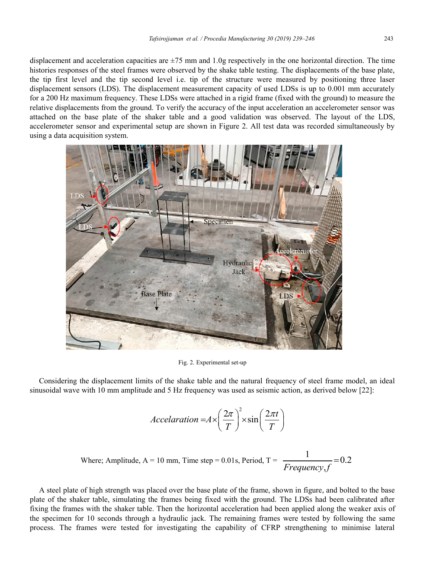displacement and acceleration capacities are  $\pm$ 75 mm and 1.0g respectively in the one horizontal direction. The time histories responses of the steel frames were observed by the shake table testing. The displacements of the base plate, the tip first level and the tip second level i.e. tip of the structure were measured by positioning three laser displacement sensors (LDS). The displacement measurement capacity of used LDSs is up to 0.001 mm accurately for a 200 Hz maximum frequency. These LDSs were attached in a rigid frame (fixed with the ground) to measure the relative displacements from the ground. To verify the accuracy of the input acceleration an accelerometer sensor was attached on the base plate of the shaker table and a good validation was observed. The layout of the LDS, accelerometer sensor and experimental setup are shown in Figure 2. All test data was recorded simultaneously by using a data acquisition system.



Fig. 2. Experimental set-up

Considering the displacement limits of the shake table and the natural frequency of steel frame model, an ideal sinusoidal wave with 10 mm amplitude and 5 Hz frequency was used as seismic action, as derived below [22]:

$$
Acceleration = A \times \left(\frac{2\pi}{T}\right)^2 \times \sin\left(\frac{2\pi t}{T}\right)
$$

Where; Amplitude, A = 10 mm, Time step = 0.01s, Period, T = 
$$
\frac{1}{Frequency_{\text{f}}} = 0.2
$$

A steel plate of high strength was placed over the base plate of the frame, shown in figure, and bolted to the base plate of the shaker table, simulating the frames being fixed with the ground. The LDSs had been calibrated after fixing the frames with the shaker table. Then the horizontal acceleration had been applied along the weaker axis of the specimen for 10 seconds through a hydraulic jack. The remaining frames were tested by following the same process. The frames were tested for investigating the capability of CFRP strengthening to minimise lateral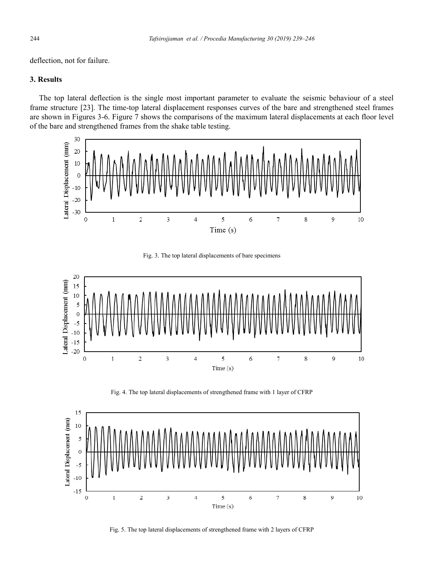deflection, not for failure.

## **3. Results**

The top lateral deflection is the single most important parameter to evaluate the seismic behaviour of a steel frame structure [23]. The time-top lateral displacement responses curves of the bare and strengthened steel frames are shown in Figures 3-6. Figure 7 shows the comparisons of the maximum lateral displacements at each floor level of the bare and strengthened frames from the shake table testing.



Fig. 3. The top lateral displacements of bare specimens



Fig. 4. The top lateral displacements of strengthened frame with 1 layer of CFRP



Fig. 5. The top lateral displacements of strengthened frame with 2 layers of CFRP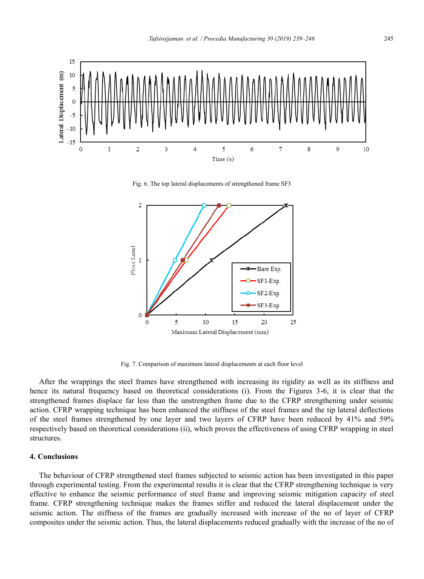

Fig. 6. The top lateral displacements of strengthened frame SF3



Fig. 7. Comparison of maximum lateral displacements at each floor level

After the wrappings the steel frames have strengthened with increasing its rigidity as well as its stiffness and hence its natural frequency based on theoretical considerations (i). From the Figures 3-6, it is clear that the strengthened frames displace far less than the unstrengthen frame due to the CFRP strengthening under seismic action. CFRP wrapping technique has been enhanced the stiffness of the steel frames and the tip lateral deflections of the steel frames strengthened by one layer and two layers of CFRP have been reduced by 41% and 59% respectively based on theoretical considerations (ii), which proves the effectiveness of using CFRP wrapping in steel structures.

#### **4. Conclusions**

The behaviour of CFRP strengthened steel frames subjected to seismic action has been investigated in this paper through experimental testing. From the experimental results it is clear that the CFRP strengthening technique is very effective to enhance the seismic performance of steel frame and improving seismic mitigation capacity of steel frame. CFRP strengthening technique makes the frames stiffer and reduced the lateral displacement under the seismic action. The stiffness of the frames are gradually increased with increase of the no of layer of CFRP composites under the seismic action. Thus, the lateral displacements reduced gradually with the increase of the no of